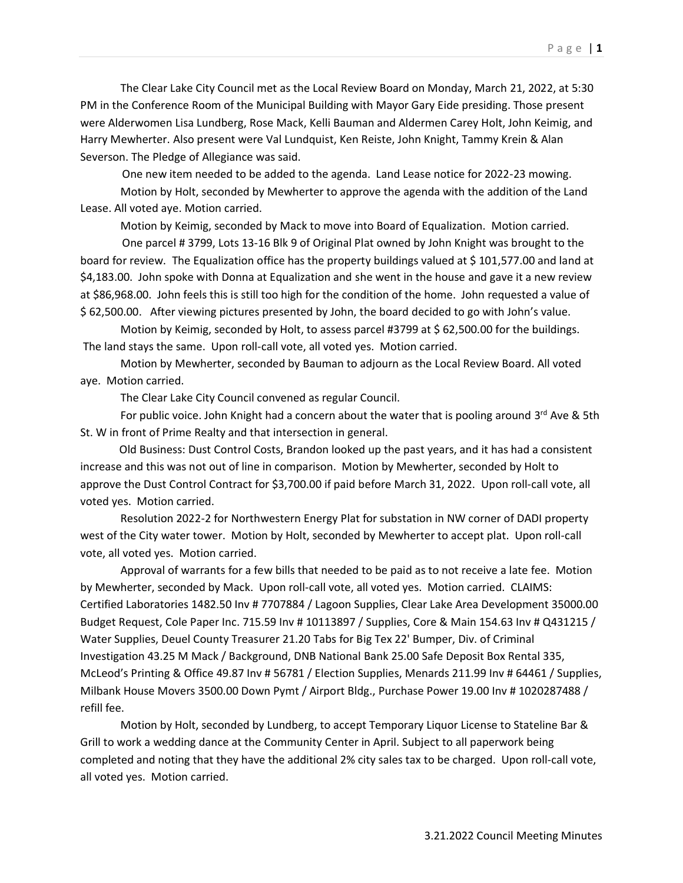The Clear Lake City Council met as the Local Review Board on Monday, March 21, 2022, at 5:30 PM in the Conference Room of the Municipal Building with Mayor Gary Eide presiding. Those present were Alderwomen Lisa Lundberg, Rose Mack, Kelli Bauman and Aldermen Carey Holt, John Keimig, and Harry Mewherter. Also present were Val Lundquist, Ken Reiste, John Knight, Tammy Krein & Alan Severson. The Pledge of Allegiance was said.

One new item needed to be added to the agenda. Land Lease notice for 2022-23 mowing.

Motion by Holt, seconded by Mewherter to approve the agenda with the addition of the Land Lease. All voted aye. Motion carried.

Motion by Keimig, seconded by Mack to move into Board of Equalization. Motion carried.

 One parcel # 3799, Lots 13-16 Blk 9 of Original Plat owned by John Knight was brought to the board for review. The Equalization office has the property buildings valued at \$ 101,577.00 and land at \$4,183.00. John spoke with Donna at Equalization and she went in the house and gave it a new review at \$86,968.00. John feels this is still too high for the condition of the home. John requested a value of \$ 62,500.00. After viewing pictures presented by John, the board decided to go with John's value.

Motion by Keimig, seconded by Holt, to assess parcel #3799 at \$ 62,500.00 for the buildings. The land stays the same. Upon roll-call vote, all voted yes. Motion carried.

Motion by Mewherter, seconded by Bauman to adjourn as the Local Review Board. All voted aye. Motion carried.

The Clear Lake City Council convened as regular Council.

For public voice. John Knight had a concern about the water that is pooling around 3<sup>rd</sup> Ave & 5th St. W in front of Prime Realty and that intersection in general.

 Old Business: Dust Control Costs, Brandon looked up the past years, and it has had a consistent increase and this was not out of line in comparison. Motion by Mewherter, seconded by Holt to approve the Dust Control Contract for \$3,700.00 if paid before March 31, 2022. Upon roll-call vote, all voted yes. Motion carried.

Resolution 2022-2 for Northwestern Energy Plat for substation in NW corner of DADI property west of the City water tower. Motion by Holt, seconded by Mewherter to accept plat. Upon roll-call vote, all voted yes. Motion carried.

 Approval of warrants for a few bills that needed to be paid as to not receive a late fee. Motion by Mewherter, seconded by Mack. Upon roll-call vote, all voted yes. Motion carried. CLAIMS: Certified Laboratories 1482.50 Inv # 7707884 / Lagoon Supplies, Clear Lake Area Development 35000.00 Budget Request, Cole Paper Inc. 715.59 Inv # 10113897 / Supplies, Core & Main 154.63 Inv # Q431215 / Water Supplies, Deuel County Treasurer 21.20 Tabs for Big Tex 22' Bumper, Div. of Criminal Investigation 43.25 M Mack / Background, DNB National Bank 25.00 Safe Deposit Box Rental 335, McLeod's Printing & Office 49.87 Inv # 56781 / Election Supplies, Menards 211.99 Inv # 64461 / Supplies, Milbank House Movers 3500.00 Down Pymt / Airport Bldg., Purchase Power 19.00 Inv # 1020287488 / refill fee.

Motion by Holt, seconded by Lundberg, to accept Temporary Liquor License to Stateline Bar & Grill to work a wedding dance at the Community Center in April. Subject to all paperwork being completed and noting that they have the additional 2% city sales tax to be charged. Upon roll-call vote, all voted yes. Motion carried.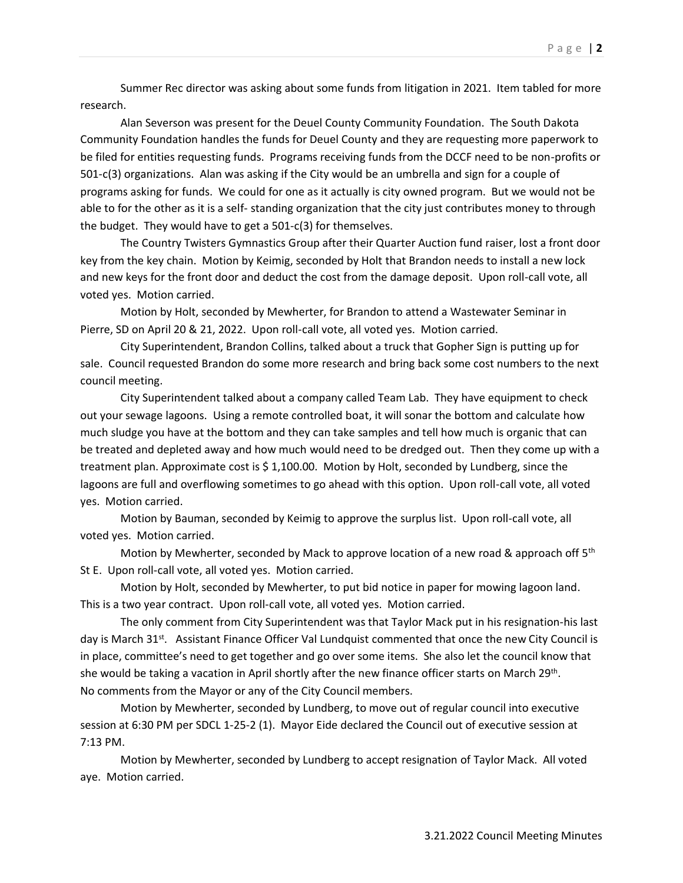Summer Rec director was asking about some funds from litigation in 2021. Item tabled for more research.

Alan Severson was present for the Deuel County Community Foundation. The South Dakota Community Foundation handles the funds for Deuel County and they are requesting more paperwork to be filed for entities requesting funds. Programs receiving funds from the DCCF need to be non-profits or 501-c(3) organizations. Alan was asking if the City would be an umbrella and sign for a couple of programs asking for funds. We could for one as it actually is city owned program. But we would not be able to for the other as it is a self- standing organization that the city just contributes money to through the budget. They would have to get a 501-c(3) for themselves.

The Country Twisters Gymnastics Group after their Quarter Auction fund raiser, lost a front door key from the key chain. Motion by Keimig, seconded by Holt that Brandon needs to install a new lock and new keys for the front door and deduct the cost from the damage deposit. Upon roll-call vote, all voted yes. Motion carried.

Motion by Holt, seconded by Mewherter, for Brandon to attend a Wastewater Seminar in Pierre, SD on April 20 & 21, 2022. Upon roll-call vote, all voted yes. Motion carried.

City Superintendent, Brandon Collins, talked about a truck that Gopher Sign is putting up for sale. Council requested Brandon do some more research and bring back some cost numbers to the next council meeting.

City Superintendent talked about a company called Team Lab. They have equipment to check out your sewage lagoons. Using a remote controlled boat, it will sonar the bottom and calculate how much sludge you have at the bottom and they can take samples and tell how much is organic that can be treated and depleted away and how much would need to be dredged out. Then they come up with a treatment plan. Approximate cost is \$ 1,100.00. Motion by Holt, seconded by Lundberg, since the lagoons are full and overflowing sometimes to go ahead with this option. Upon roll-call vote, all voted yes. Motion carried.

Motion by Bauman, seconded by Keimig to approve the surplus list. Upon roll-call vote, all voted yes. Motion carried.

Motion by Mewherter, seconded by Mack to approve location of a new road & approach off  $5<sup>th</sup>$ St E. Upon roll-call vote, all voted yes. Motion carried.

Motion by Holt, seconded by Mewherter, to put bid notice in paper for mowing lagoon land. This is a two year contract. Upon roll-call vote, all voted yes. Motion carried.

The only comment from City Superintendent was that Taylor Mack put in his resignation-his last day is March 31<sup>st</sup>. Assistant Finance Officer Val Lundquist commented that once the new City Council is in place, committee's need to get together and go over some items. She also let the council know that she would be taking a vacation in April shortly after the new finance officer starts on March 29<sup>th</sup>. No comments from the Mayor or any of the City Council members.

Motion by Mewherter, seconded by Lundberg, to move out of regular council into executive session at 6:30 PM per SDCL 1-25-2 (1). Mayor Eide declared the Council out of executive session at 7:13 PM.

Motion by Mewherter, seconded by Lundberg to accept resignation of Taylor Mack. All voted aye. Motion carried.